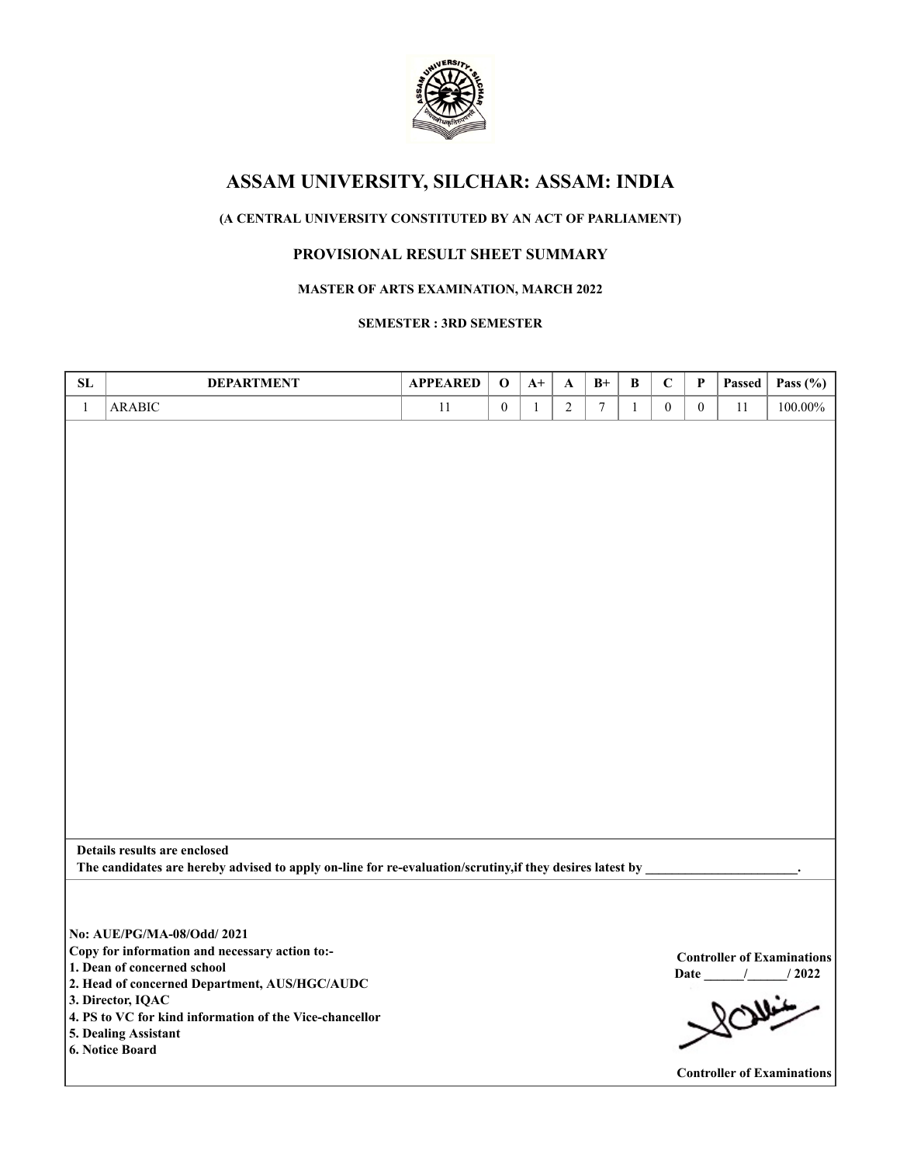

# **ASSAM UNIVERSITY, SILCHAR: ASSAM: INDIA**

## **(A CENTRAL UNIVERSITY CONSTITUTED BY AN ACT OF PARLIAMENT)**

### **PROVISIONAL RESULT SHEET SUMMARY**

#### **MASTER OF ARTS EXAMINATION, MARCH 2022**

#### **SEMESTER : 3RD SEMESTER**

| SL           | <b>DEPARTMENT</b>                                                                                        | <b>APPEARED</b> | $\mathbf 0$      | $A+$         | A              | $B+$             | $\, {\bf B}$ | $\mathbf C$      | P              | Passed | Pass $(\% )$                      |
|--------------|----------------------------------------------------------------------------------------------------------|-----------------|------------------|--------------|----------------|------------------|--------------|------------------|----------------|--------|-----------------------------------|
| $\mathbf{1}$ | <b>ARABIC</b>                                                                                            | 11              | $\boldsymbol{0}$ | $\mathbf{1}$ | $\overline{2}$ | $\boldsymbol{7}$ | $\mathbf{1}$ | $\boldsymbol{0}$ | $\overline{0}$ | 11     | 100.00%                           |
|              |                                                                                                          |                 |                  |              |                |                  |              |                  |                |        |                                   |
|              |                                                                                                          |                 |                  |              |                |                  |              |                  |                |        |                                   |
|              |                                                                                                          |                 |                  |              |                |                  |              |                  |                |        |                                   |
|              |                                                                                                          |                 |                  |              |                |                  |              |                  |                |        |                                   |
|              |                                                                                                          |                 |                  |              |                |                  |              |                  |                |        |                                   |
|              |                                                                                                          |                 |                  |              |                |                  |              |                  |                |        |                                   |
|              |                                                                                                          |                 |                  |              |                |                  |              |                  |                |        |                                   |
|              |                                                                                                          |                 |                  |              |                |                  |              |                  |                |        |                                   |
|              |                                                                                                          |                 |                  |              |                |                  |              |                  |                |        |                                   |
|              |                                                                                                          |                 |                  |              |                |                  |              |                  |                |        |                                   |
|              |                                                                                                          |                 |                  |              |                |                  |              |                  |                |        |                                   |
|              |                                                                                                          |                 |                  |              |                |                  |              |                  |                |        |                                   |
|              |                                                                                                          |                 |                  |              |                |                  |              |                  |                |        |                                   |
|              |                                                                                                          |                 |                  |              |                |                  |              |                  |                |        |                                   |
|              |                                                                                                          |                 |                  |              |                |                  |              |                  |                |        |                                   |
|              |                                                                                                          |                 |                  |              |                |                  |              |                  |                |        |                                   |
|              |                                                                                                          |                 |                  |              |                |                  |              |                  |                |        |                                   |
|              |                                                                                                          |                 |                  |              |                |                  |              |                  |                |        |                                   |
|              |                                                                                                          |                 |                  |              |                |                  |              |                  |                |        |                                   |
|              |                                                                                                          |                 |                  |              |                |                  |              |                  |                |        |                                   |
|              |                                                                                                          |                 |                  |              |                |                  |              |                  |                |        |                                   |
|              | Details results are enclosed                                                                             |                 |                  |              |                |                  |              |                  |                |        |                                   |
|              | The candidates are hereby advised to apply on-line for re-evaluation/scrutiny, if they desires latest by |                 |                  |              |                |                  |              |                  |                |        |                                   |
|              |                                                                                                          |                 |                  |              |                |                  |              |                  |                |        |                                   |
|              |                                                                                                          |                 |                  |              |                |                  |              |                  |                |        |                                   |
|              |                                                                                                          |                 |                  |              |                |                  |              |                  |                |        |                                   |
|              | No: AUE/PG/MA-08/Odd/ 2021                                                                               |                 |                  |              |                |                  |              |                  |                |        |                                   |
|              | Copy for information and necessary action to:-<br>1. Dean of concerned school                            |                 |                  |              |                |                  |              |                  |                |        | <b>Controller of Examinations</b> |
|              | 2. Head of concerned Department, AUS/HGC/AUDC                                                            |                 |                  |              |                |                  |              |                  |                |        | Date / / 2022                     |
|              | 3. Director, IQAC                                                                                        |                 |                  |              |                |                  |              |                  |                |        | 80                                |
|              | 4. PS to VC for kind information of the Vice-chancellor                                                  |                 |                  |              |                |                  |              |                  |                |        |                                   |
|              | 5. Dealing Assistant                                                                                     |                 |                  |              |                |                  |              |                  |                |        |                                   |
|              | 6. Notice Board                                                                                          |                 |                  |              |                |                  |              |                  |                |        |                                   |
|              |                                                                                                          |                 |                  |              |                |                  |              |                  |                |        | <b>Controller of Examinations</b> |